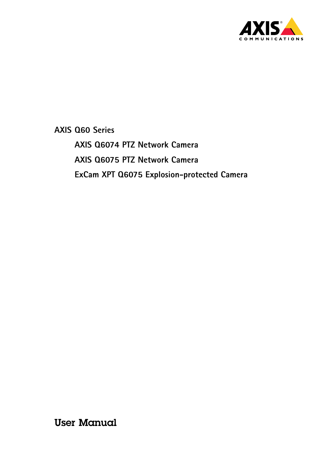

**AXIS Q6074 PTZ Network Camera AXIS Q6075 PTZ Network Camera ExCam XPT Q6075 Explosion-protected Camera**

User Manual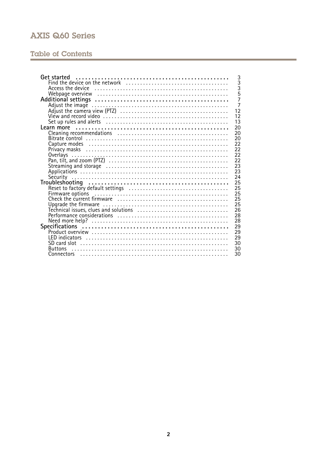## **Table of Contents**

| Get started<br>3     |
|----------------------|
| $\overline{3}$       |
| $\overline{3}$       |
| $\overline{5}$       |
| $\overline{7}$       |
| $\frac{1}{7}$        |
| 12                   |
| 12                   |
| 13                   |
| 20                   |
| 20                   |
| 20                   |
| 22                   |
| 22                   |
| 22<br>Overlays       |
| 22                   |
| 23                   |
| 23                   |
| 24                   |
| 25                   |
| 25                   |
| 25                   |
| 25                   |
|                      |
| 25                   |
| 26                   |
| 28                   |
| 28                   |
| 29                   |
| 29                   |
| 29                   |
| 30<br>SD card slot   |
| 30<br><b>Buttons</b> |
| 30                   |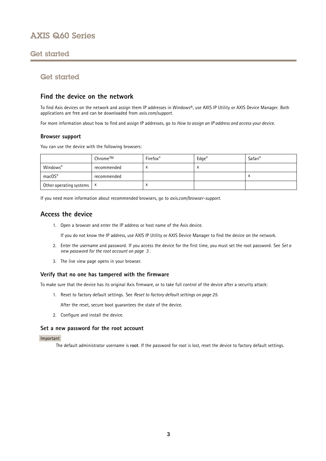## <span id="page-2-0"></span>Get started

## Get started

## **Find the device on the network**

To find Axis devices on the network and assign them IP addresses in Windows®, use AXIS IP Utility or AXIS Device Manager. Both applications are free and can be downloaded from *[axis.com/support](https://www.axis.com/support)*.

For more information about how to find and assign IP addresses, go to *How to [assign](https://www.axis.com/products/online-manual/i90000) an IP address and access your device*.

### **Browser support**

You can use the device with the following browsers:

|                                      | Chrome™     | Firefox <sup>®</sup> | $Edge^{\circledast}$ | Safari <sup>®</sup> |
|--------------------------------------|-------------|----------------------|----------------------|---------------------|
| Windows®                             | recommended |                      | ⌒                    |                     |
| macOS®                               | recommended |                      |                      | $\lambda$           |
| Other operating systems $\mathbf{x}$ |             | $\lambda$            |                      |                     |

If you need more information about recommended browsers, go to *[axis.com/browser-support](https://www.axis.com/browser-support)*.

## **Access the device**

1. Open <sup>a</sup> browser and enter the IP address or host name of the Axis device.

If you do not know the IP address, use AXIS IP Utility or AXIS Device Manager to find the device on the network.

- 2. Enter the username and password. If you access the device for the first time, you must set the root password. See *Set <sup>a</sup> new password for the root account on page 3* .
- 3. The live view page opens in your browser.

## **Verify that no one has tampered with the firmware**

To make sure that the device has its original Axis firmware, or to take full control of the device after <sup>a</sup> security attack:

1. Reset to factory default settings. See *Reset to factory default [settings](#page-24-0) on page [25](#page-24-0)*.

After the reset, secure boot guarantees the state of the device.

2. Configure and install the device.

### **Set <sup>a</sup> new password for the root account**

### Important

The default administrator username is **root**. If the password for root is lost, reset the device to factory default settings.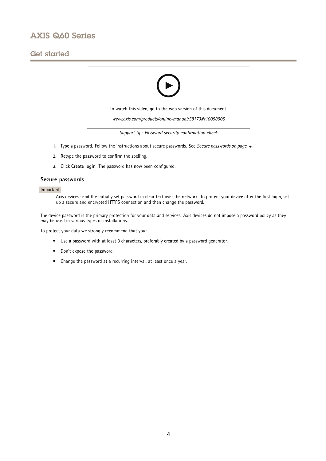## Get started



- 1. Type <sup>a</sup> password. Follow the instructions about secure passwords. See *Secure passwords on page <sup>4</sup>* .
- 2. Retype the password to confirm the spelling.
- 3. Click **Create login**. The password has now been configured.

## **Secure passwords**

### Important

Axis devices send the initially set password in clear text over the network. To protect your device after the first login, set up <sup>a</sup> secure and encrypted HTTPS connection and then change the password.

The device password is the primary protection for your data and services. Axis devices do not impose <sup>a</sup> password policy as they may be used in various types of installations.

To protect your data we strongly recommend that you:

- Use <sup>a</sup> password with at least 8 characters, preferably created by <sup>a</sup> password generator.
- Don't expose the password.
- Change the password at <sup>a</sup> recurring interval, at least once <sup>a</sup> year.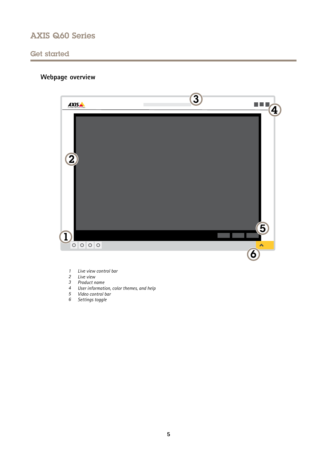## <span id="page-4-0"></span>Get started

# **Webpage overview**



- *1 Live view control bar*
- *2 Live view*
- *3 Product name*
- *<sup>4</sup> User information, color themes, and help*
- *5 Video control bar*
- *6 Settings toggle*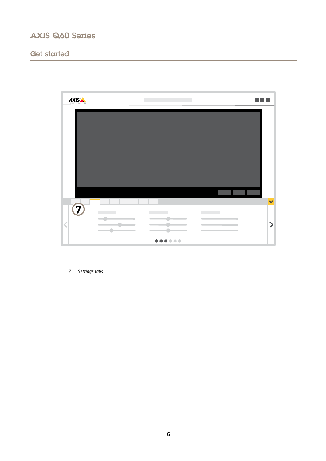# Get started



*7 Settings tabs*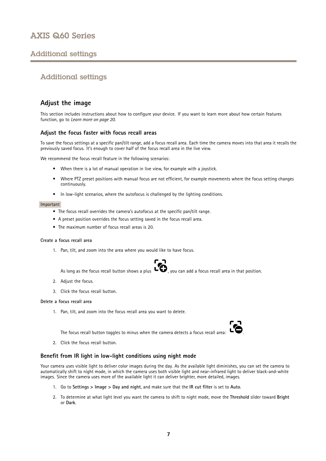## <span id="page-6-0"></span>Additional settings

## Additional settings

## **Adjust the image**

This section includes instructions about how to configure your device. If you want to learn more about how certain features function, go to *[Learn](#page-19-0) more on page [20](#page-19-0)*.

## **Adjust the focus faster with focus recall areas**

To save the focus settings at <sup>a</sup> specific pan/tilt range, add <sup>a</sup> focus recall area. Each time the camera moves into that area it recalls the previously saved focus. It's enough to cover half of the focus recall area in the live view.

We recommend the focus recall feature in the following scenarios:

- When there is <sup>a</sup> lot of manual operation in live view, for example with <sup>a</sup> joystick.
- • Where PTZ preset positions with manual focus are not efficient, for example movements where the focus setting changes continuously.
- In low-light scenarios, where the autofocus is challenged by the lighting conditions.

#### Important

- The focus recall overrides the camera's autofocus at the specific pan/tilt range.
- A preset position overrides the focus setting saved in the focus recall area.
- The maximum number of focus recall areas is 20.

### **Create <sup>a</sup> focus recall area**

1. Pan, tilt, and zoom into the area where you would like to have focus.



As long as the focus recall button shows a plus  $\ddot{\bullet}$ , you can add a focus recall area in that position.

- 2. Adjust the focus.
- 3. Click the focus recall button.

### **Delete <sup>a</sup> focus recall area**

1. Pan, tilt, and zoom into the focus recall area you want to delete.



The focus recall button toggles to minus when the camera detects a focus recall area:

2. Click the focus recall button.

## **Benefit from IR light in low-light conditions using night mode**

Your camera uses visible light to deliver color images during the day. As the available light diminishes, you can set the camera to automatically shift to night mode, in which the camera uses both visible light and near-infrared light to deliver black-and-white images. Since the camera uses more of the available light it can deliver brighter, more detailed, images.

- 1. Go to **Settings <sup>&</sup>gt; Image <sup>&</sup>gt; Day and night**, and make sure that the **IR cut filter** is set to **Auto**.
- 2. To determine at what light level you want the camera to shift to night mode, move the **Threshold** slider toward **Bright** or **Dark**.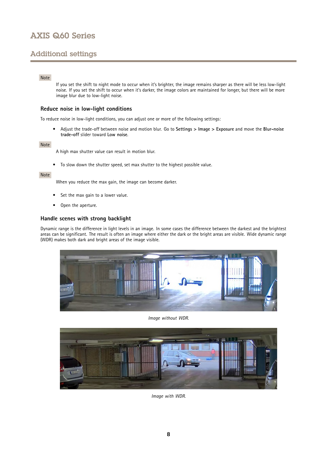## Additional settings

## Note

If you set the shift to night mode to occur when it's brighter, the image remains sharper as there will be less low-light noise. If you set the shift to occur when it's darker, the image colors are maintained for longer, but there will be more image blur due to low-light noise.

## **Reduce noise in low-light conditions**

To reduce noise in low-light conditions, you can adjust one or more of the following settings:

• Adjust the trade-off between noise and motion blur. Go to **Settings <sup>&</sup>gt; Image <sup>&</sup>gt; Exposure** and move the **Blur-noise trade-off** slider toward **Low noise**.

### Note

A high max shutter value can result in motion blur.

• To slow down the shutter speed, set max shutter to the highest possible value.

### Note

When you reduce the max gain, the image can become darker.

- •Set the max gain to <sup>a</sup> lower value.
- •Open the aperture.

## **Handle scenes with strong backlight**

Dynamic range is the difference in light levels in an image. In some cases the difference between the darkest and the brightest areas can be significant. The result is often an image where either the dark or the bright areas are visible. Wide dynamic range (WDR) makes both dark and bright areas of the image visible.



*Image without WDR.*



*Image with WDR.*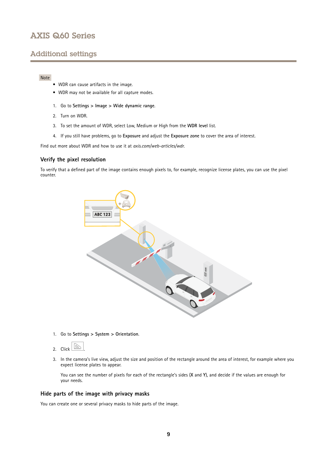## Additional settings

## Note

- WDR can cause artifacts in the image.
- WDR may not be available for all capture modes.
- 1. Go to **Settings <sup>&</sup>gt; Image <sup>&</sup>gt; Wide dynamic range**.
- 2. Turn on WDR.
- 3. To set the amount of WDR, select Low, Medium or High from the **WDR level** list.
- 4. If you still have problems, go to **Exposure** and adjust the **Exposure zone** to cover the area of interest.

Find out more about WDR and how to use it at *[axis.com/web-articles/wdr](https://www.axis.com/web-articles/wdr)*.

### **Verify the pixel resolution**

To verify that <sup>a</sup> defined part of the image contains enough pixels to, for example, recognize license plates, you can use the pixel counter.



1. Go to **Settings <sup>&</sup>gt; System <sup>&</sup>gt; Orientation**.



3. In the camera's live view, adjust the size and position of the rectangle around the area of interest, for example where you expect license plates to appear.

You can see the number of pixels for each of the rectangle's sides (**X** and **Y**), and decide if the values are enough for your needs.

### **Hide parts of the image with privacy masks**

You can create one or several privacy masks to hide parts of the image.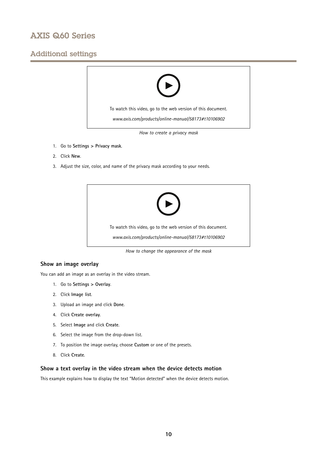## Additional settings



- 1. Go to **Settings <sup>&</sup>gt; Privacy mask**.
- 2. Click **New**.
- 3. Adjust the size, color, and name of the privacy mask according to your needs.



*How to change the appearance of the mask*

## **Show an image overlay**

You can add an image as an overlay in the video stream.

- 1. Go to **Settings <sup>&</sup>gt; Overlay**.
- 2. Click **Image list**.
- 3. Upload an image and click **Done**.
- 4. Click **Create overlay**.
- 5. Select **Image** and click **Create**.
- 6. Select the image from the drop-down list.
- 7. To position the image overlay, choose **Custom** or one of the presets.
- 8. Click **Create**.

## **Show <sup>a</sup> text overlay in the video stream when the device detects motion**

This example explains how to display the text "Motion detected" when the device detects motion.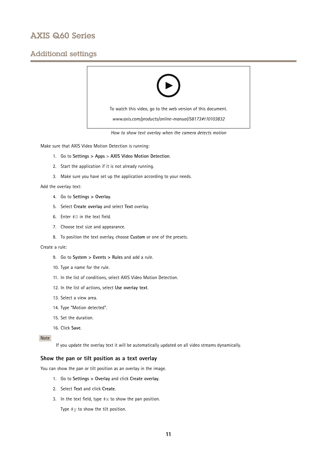## Additional settings



*How to show text overlay when the camera detects motion*

Make sure that AXIS Video Motion Detection is running:

- 1. Go to **Settings <sup>&</sup>gt; Apps** <sup>&</sup>gt; **AXIS Video Motion Detection**.
- 2. Start the application if it is not already running.
- 3. Make sure you have set up the application according to your needs.

Add the overlay text:

- 4. Go to **Settings <sup>&</sup>gt; Overlay**.
- 5. Select **Create overlay** and select **Text** overlay.
- 6. Enter #D in the text field.
- 7. Choose text size and appearance.
- 8. To position the text overlay, choose **Custom** or one of the presets.

### Create <sup>a</sup> rule:

- 9. Go to **System <sup>&</sup>gt; Events <sup>&</sup>gt; Rules** and add <sup>a</sup> rule.
- 10. Type <sup>a</sup> name for the rule.
- 11. In the list of conditions, select AXIS Video Motion Detection.
- 12. In the list of actions, select **Use overlay text**.
- 13. Select <sup>a</sup> view area.
- 14. Type "Motion detected".
- 15. Set the duration.
- 16. Click **Save**.

### Note

If you update the overlay text it will be automatically updated on all video streams dynamically.

## **Show the pan or tilt position as <sup>a</sup> text overlay**

You can show the pan or tilt position as an overlay in the image.

- 1. Go to **Settings <sup>&</sup>gt; Overlay** and click **Create overlay**.
- 2. Select **Text** and click **Create**.
- 3. In the text field, type  $\# \times$  to show the pan position.

Type  $\#$ y to show the tilt position.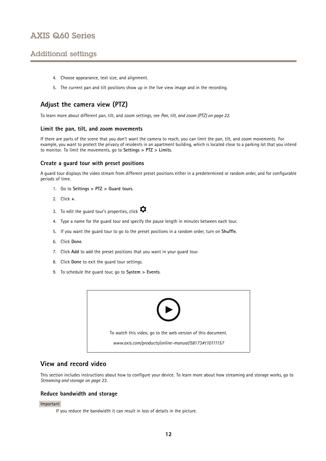## <span id="page-11-0"></span>Additional settings

- 4. Choose appearance, text size, and alignment.
- 5. The current pan and tilt positions show up in the live view image and in the recording.

## **Adjust the camera view (PTZ)**

To learn more about different pan, tilt, and zoom settings, see *Pan, tilt, and zoom [\(PTZ\)](#page-21-0) on page [22](#page-21-0)*.

### **Limit the pan, tilt, and zoom movements**

If there are parts of the scene that you don't want the camera to reach, you can limit the pan, tilt, and zoom movements. For example, you want to protect the privacy of residents in an apartment building, which is located close to <sup>a</sup> parking lot that you intend to monitor. To limit the movements, go to **Settings <sup>&</sup>gt; PTZ <sup>&</sup>gt; Limits**.

### **Create <sup>a</sup> guard tour with preset positions**

A guard tour displays the video stream from different preset positions either in <sup>a</sup> predetermined or random order, and for configurable periods of time.

- 1. Go to **Settings <sup>&</sup>gt; PTZ <sup>&</sup>gt; Guard tours**.
- 2. Click **<sup>+</sup>**.
- 3. To edit the guard tour's properties, click  $\boldsymbol{\mathcal{D}}$ .
- 4. Type <sup>a</sup> name for the guard tour and specify the pause length in minutes between each tour.
- 5. If you want the guard tour to go to the preset positions in <sup>a</sup> random order, turn on **Shuffle**.
- 6. Click **Done**.
- 7. Click **Add** to add the preset positions that you want in your guard tour.
- 8. Click **Done** to exit the guard tour settings.
- 9. To schedule the guard tour, go to **System <sup>&</sup>gt; Events**.



## **View and record video**

This section includes instructions about how to configure your device. To learn more about how streaming and storage works, go to *[Streaming](#page-22-0) and storage on page [23](#page-22-0)*.

### **Reduce bandwidth and storage**

#### Important

If you reduce the bandwidth it can result in loss of details in the picture.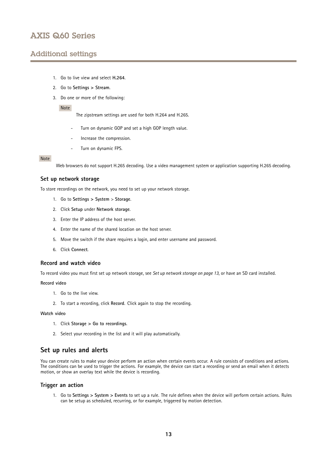## <span id="page-12-0"></span>Additional settings

- 1. Go to live view and select **H.264**.
- 2. Go to **Settings <sup>&</sup>gt; Stream**.
- 3. Do one or more of the following:

#### Note

The zipstream settings are used for both H.264 and H.265.

- Turn on dynamic GOP and set <sup>a</sup> high GOP length value.
- Increase the compression.
- Turn on dynamic FPS.

#### Note

Web browsers do not support H.265 decoding. Use <sup>a</sup> video management system or application supporting H.265 decoding.

## **Set up network storage**

To store recordings on the network, you need to set up your network storage.

- 1. Go to **Settings <sup>&</sup>gt; System** <sup>&</sup>gt; **Storage**.
- 2. Click **Setup** under **Network storage**.
- 3. Enter the IP address of the host server.
- 4. Enter the name of the shared location on the host server.
- 5. Move the switch if the share requires <sup>a</sup> login, and enter username and password.
- 6. Click **Connect**.

#### **Record and watch video**

To record video you must first set up network storage, see *Set up network storage on page 13*, or have an SD card installed.

#### **Record video**

- 1. Go to the live view.
- 2. To start <sup>a</sup> recording, click **Record**. Click again to stop the recording.

#### **Watch video**

- 1. Click **Storage <sup>&</sup>gt; Go to recordings**.
- 2. Select your recording in the list and it will play automatically.

## **Set up rules and alerts**

You can create rules to make your device perform an action when certain events occur. A rule consists of conditions and actions. The conditions can be used to trigger the actions. For example, the device can start <sup>a</sup> recording or send an email when it detects motion, or show an overlay text while the device is recording.

## **Trigger an action**

1. Go to **Settings <sup>&</sup>gt; System <sup>&</sup>gt; Events** to set up <sup>a</sup> rule. The rule defines when the device will perform certain actions. Rules can be setup as scheduled, recurring, or for example, triggered by motion detection.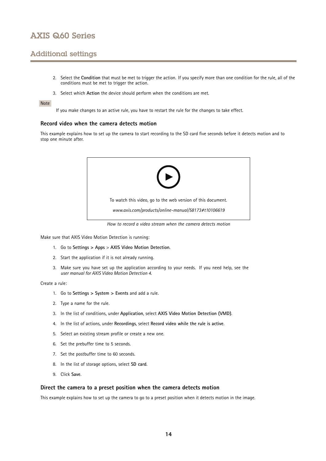## Additional settings

- 2. Select the **Condition** that must be met to trigger the action. If you specify more than one condition for the rule, all of the conditions must be met to trigger the action.
- 3. Select which **Action** the device should perform when the conditions are met.

### Note

If you make changes to an active rule, you have to restart the rule for the changes to take effect.

### **Record video when the camera detects motion**

This example explains how to set up the camera to start recording to the SD card five seconds before it detects motion and to stop one minute after.



*How to record a video stream when the camera detects motion*

Make sure that AXIS Video Motion Detection is running:

- 1. Go to **Settings <sup>&</sup>gt; Apps** <sup>&</sup>gt; **AXIS Video Motion Detection**.
- 2. Start the application if it is not already running.
- 3. Make sure you have set up the application according to your needs. If you need help, see the *user manual for AXIS Video Motion [Detection](https://www.axis.com/products/online-manual/44110) 4*.

#### Create <sup>a</sup> rule:

- 1. Go to **Settings <sup>&</sup>gt; System <sup>&</sup>gt; Events** and add <sup>a</sup> rule.
- 2. Type <sup>a</sup> name for the rule.
- 3. In the list of conditions, under **Application**, select **AXIS Video Motion Detection (VMD)**.
- 4. In the list of actions, under **Recordings**, select **Record video while the rule is active**.
- 5. Select an existing stream profile or create <sup>a</sup> new one.
- 6. Set the prebuffer time to 5 seconds.
- 7. Set the postbuffer time to 60 seconds.
- 8. In the list of storage options, select **SD card**.
- 9. Click **Save**.

### **Direct the camera to <sup>a</sup> preset position when the camera detects motion**

This example explains how to set up the camera to go to <sup>a</sup> preset position when it detects motion in the image.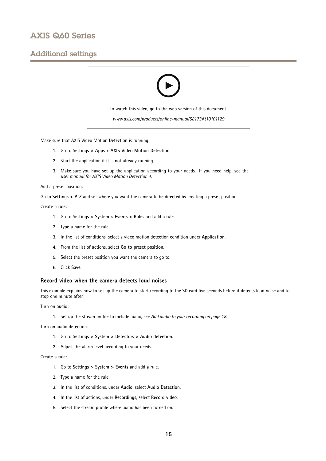## Additional settings



Make sure that AXIS Video Motion Detection is running:

- 1. Go to **Settings <sup>&</sup>gt; Apps** <sup>&</sup>gt; **AXIS Video Motion Detection**.
- 2. Start the application if it is not already running.
- 3. Make sure you have set up the application according to your needs. If you need help, see the *user manual for AXIS Video Motion [Detection](https://www.axis.com/products/online-manual/44110) 4*.

#### Add <sup>a</sup> preset position:

Go to **Settings <sup>&</sup>gt; PTZ** and set where you want the camera to be directed by creating <sup>a</sup> preset position.

#### Create <sup>a</sup> rule:

- 1. Go to **Settings <sup>&</sup>gt; System** <sup>&</sup>gt; **Events <sup>&</sup>gt; Rules** and add <sup>a</sup> rule.
- 2. Type <sup>a</sup> name for the rule.
- 3. In the list of conditions, select <sup>a</sup> video motion detection condition under **Application**.
- 4. From the list of actions, select **Go to preset position**.
- 5. Select the preset position you want the camera to go to.
- 6. Click **Save**.

### **Record video when the camera detects loud noises**

This example explains how to set up the camera to start recording to the SD card five seconds before it detects loud noise and to stop one minute after.

Turn on audio:

1. Set up the stream profile to include audio, see *Add audio to your [recording](#page-17-0) on page [18](#page-17-0)*.

Turn on audio detection:

- 1. Go to **Settings <sup>&</sup>gt; System <sup>&</sup>gt; Detectors <sup>&</sup>gt; Audio detection**.
- 2. Adjust the alarm level according to your needs.

### Create <sup>a</sup> rule:

- 1. Go to **Settings <sup>&</sup>gt; System <sup>&</sup>gt; Events** and add <sup>a</sup> rule.
- 2. Type <sup>a</sup> name for the rule.
- 3. In the list of conditions, under **Audio**, select **Audio Detection**.
- 4. In the list of actions, under **Recordings**, select **Record video**.
- 5. Select the stream profile where audio has been turned on.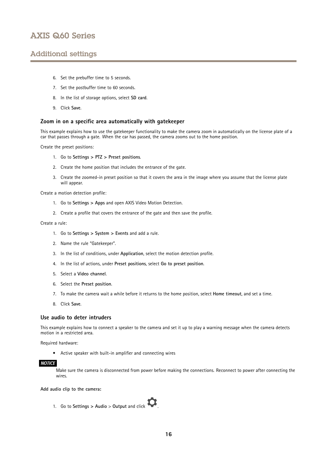## Additional settings

- 6. Set the prebuffer time to 5 seconds.
- 7. Set the postbuffer time to 60 seconds.
- 8. In the list of storage options, select **SD card**.
- 9. Click **Save**.

### **Zoom in on <sup>a</sup> specific area automatically with gatekeeper**

This example explains how to use the gatekeeper functionality to make the camera zoom in automatically on the license plate of <sup>a</sup> car that passes through <sup>a</sup> gate. When the car has passed, the camera zooms out to the home position.

Create the preset positions:

- 1. Go to **Settings <sup>&</sup>gt; PTZ <sup>&</sup>gt; Preset positions**.
- 2. Create the home position that includes the entrance of the gate.
- 3. Create the zoomed-in preset position so that it covers the area in the image where you assume that the license plate will appear.

Create <sup>a</sup> motion detection profile:

- 1. Go to **Settings <sup>&</sup>gt; Apps** and open AXIS Video Motion Detection.
- 2. Create <sup>a</sup> profile that covers the entrance of the gate and then save the profile.

Create <sup>a</sup> rule:

- 1. Go to **Settings <sup>&</sup>gt; System <sup>&</sup>gt; Events** and add <sup>a</sup> rule.
- 2. Name the rule "Gatekeeper".
- 3. In the list of conditions, under **Application**, select the motion detection profile.
- 4. In the list of actions, under **Preset positions**, select **Go to preset position**.
- 5. Select <sup>a</sup> **Video channel**.
- 6. Select the **Preset position**.
- 7. To make the camera wait <sup>a</sup> while before it returns to the home position, select **Home timeout**, and set <sup>a</sup> time.
- 8. Click **Save**.

#### **Use audio to deter intruders**

This example explains how to connect <sup>a</sup> speaker to the camera and set it up to play <sup>a</sup> warning message when the camera detects motion in a restricted area.

Required hardware:

• Active speaker with built-in amplifier and connecting wires

### *NOTICE*

Make sure the camera is disconnected from power before making the connections. Reconnect to power after connecting the wires.

**Add audio clip to the camera:**

1. Go to **Settings <sup>&</sup>gt; Audio** <sup>&</sup>gt; **Output** and click .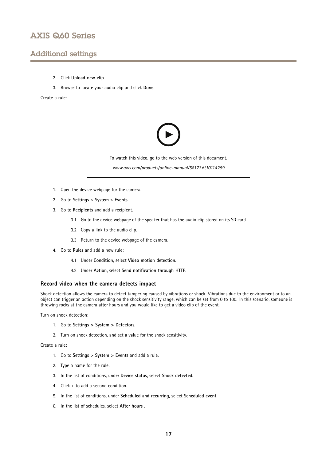## Additional settings

- 2. Click **Upload new clip**.
- 3. Browse to locate your audio clip and click **Done**.

Create <sup>a</sup> rule:



- 1. Open the device webpage for the camera.
- 2. Go to **Settings** <sup>&</sup>gt; **System** <sup>&</sup>gt; **Events**.
- 3. Go to **Recipients** and add <sup>a</sup> recipient.
	- 3.1 Go to the device webpage of the speaker that has the audio clip stored on its SD card.
	- 3.2 Copy <sup>a</sup> link to the audio clip.
	- 3.3 Return to the device webpage of the camera.
- 4. Go to **Rules** and add <sup>a</sup> new rule:
	- 4.1 Under **Condition**, select **Video motion detection**.
	- 4.2 Under **Action**, select **Send notification through HTTP**.

### **Record video when the camera detects impact**

Shock detection allows the camera to detect tampering caused by vibrations or shock. Vibrations due to the environment or to an object can trigger an action depending on the shock sensitivity range, which can be set from 0 to 100. In this scenario, someone is throwing rocks at the camera after hours and you would like to get <sup>a</sup> video clip of the event.

Turn on shock detection:

- 1. Go to **Settings <sup>&</sup>gt; System <sup>&</sup>gt; Detectors**.
- 2. Turn on shock detection, and set <sup>a</sup> value for the shock sensitivity.

### Create <sup>a</sup> rule:

- 1. Go to **Settings <sup>&</sup>gt; System <sup>&</sup>gt; Events** and add <sup>a</sup> rule.
- 2. Type <sup>a</sup> name for the rule.
- 3. In the list of conditions, under **Device status**, select **Shock detected**.
- 4. Click **<sup>+</sup>** to add <sup>a</sup> second condition.
- 5. In the list of conditions, under **Scheduled and recurring**, select **Scheduled event**.
- 6. In the list of schedules, select **After hours** .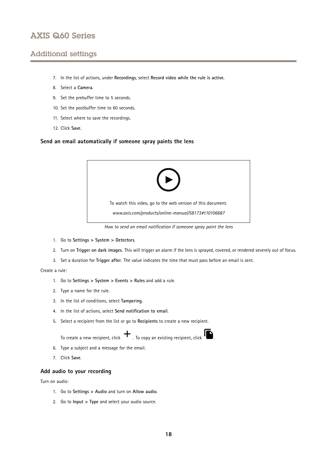## <span id="page-17-0"></span>Additional settings

- 7. In the list of actions, under **Recordings**, select **Record video while the rule is active**.
- 8. Select <sup>a</sup> **Camera**.
- 9. Set the prebuffer time to 5 seconds.
- 10. Set the postbuffer time to 60 seconds.
- 11. Select where to save the recordings.
- 12. Click **Save**.

## **Send an email automatically if someone spray paints the lens**



*How to send an email notification if someone spray paint the lens*

- 1. Go to **Settings <sup>&</sup>gt; System <sup>&</sup>gt; Detectors**.
- 2. Turn on **Trigger on dark images**. This will trigger an alarm if the lens is sprayed, covered, or rendered severely out of focus.
- 3. Set <sup>a</sup> duration for **Trigger after**. The value indicates the time that must pass before an email is sent.

Create <sup>a</sup> rule:

- 1. Go to **Settings <sup>&</sup>gt; System <sup>&</sup>gt; Events <sup>&</sup>gt; Rules** and add <sup>a</sup> rule.
- 2. Type <sup>a</sup> name for the rule.
- 3. In the list of conditions, select **Tampering**.
- 4. In the list of actions, select **Send notification to email**.
- 5. Select <sup>a</sup> recipient from the list or go to **Recipients** to create <sup>a</sup> new recipient.

To create a new recipient, click  $+$  . To copy an existing recipient, click  $\blacksquare$ .

- 6. Type <sup>a</sup> subject and <sup>a</sup> message for the email.
- 7. Click **Save**.

## **Add audio to your recording**

Turn on audio:

- 1. Go to **Settings <sup>&</sup>gt; Audio** and turn on **Allow audio**.
- 2. Go to **Input <sup>&</sup>gt; Type** and select your audio source.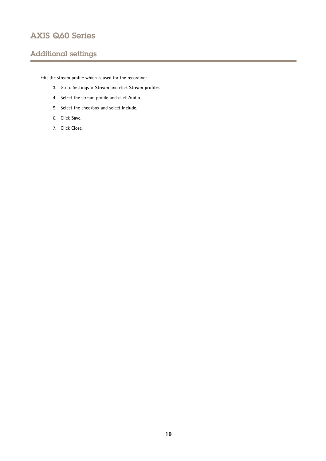## Additional settings

Edit the stream profile which is used for the recording:

- 3. Go to **Settings <sup>&</sup>gt; Stream** and click **Stream profiles**.
- 4. Select the stream profile and click **Audio**.
- 5. Select the checkbox and select **Include**.
- 6. Click **Save**.
- 7. Click **Close**.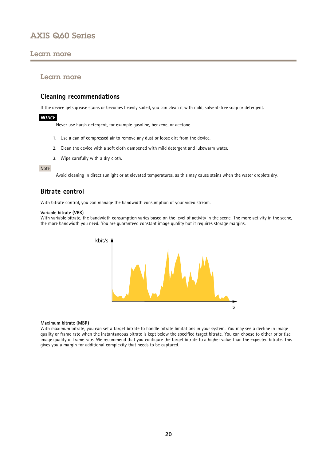## <span id="page-19-0"></span>Learn more

## Learn more

## **Cleaning recommendations**

If the device gets grease stains or becomes heavily soiled, you can clean it with mild, solvent-free soap or detergent.

### *NOTICE*

Never use harsh detergent, for example gasoline, benzene, or acetone.

- 1. Use <sup>a</sup> can of compressed air to remove any dust or loose dirt from the device.
- 2. Clean the device with <sup>a</sup> soft cloth dampened with mild detergent and lukewarm water.
- 3. Wipe carefully with <sup>a</sup> dry cloth.

#### Note

Avoid cleaning in direct sunlight or at elevated temperatures, as this may cause stains when the water droplets dry.

## **Bitrate control**

With bitrate control, you can manage the bandwidth consumption of your video stream.

### **Variable bitrate (VBR)**

With variable bitrate, the bandwidth consumption varies based on the level of activity in the scene. The more activity in the scene, the more bandwidth you need. You are guaranteed constant image quality but it requires storage margins.



#### **Maximum bitrate (MBR)**

With maximum bitrate, you can set <sup>a</sup> target bitrate to handle bitrate limitations in your system. You may see <sup>a</sup> decline in image quality or frame rate when the instantaneous bitrate is kept below the specified target bitrate. You can choose to either prioritize image quality or frame rate. We recommend that you configure the target bitrate to <sup>a</sup> higher value than the expected bitrate. This gives you <sup>a</sup> margin for additional complexity that needs to be captured.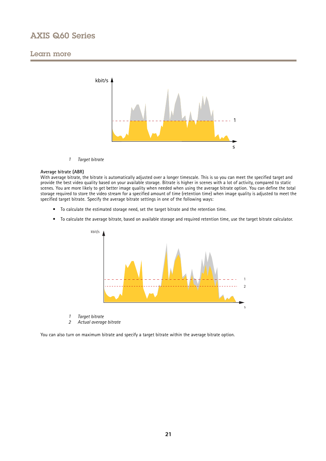## Learn more



*1 Target bitrate*

#### **Average bitrate (ABR)**

With average bitrate, the bitrate is automatically adjusted over a longer timescale. This is so you can meet the specified target and provide the best video quality based on your available storage. Bitrate is higher in scenes with <sup>a</sup> lot of activity, compared to static scenes. You are more likely to get better image quality when needed when using the average bitrate option. You can define the total storage required to store the video stream for <sup>a</sup> specified amount of time (retention time) when image quality is adjusted to meet the specified target bitrate. Specify the average bitrate settings in one of the following ways:

- To calculate the estimated storage need, set the target bitrate and the retention time.
- To calculate the average bitrate, based on available storage and required retention time, use the target bitrate calculator.



- *1 Target bitrate*
- *2 Actual average bitrate*

You can also turn on maximum bitrate and specify <sup>a</sup> target bitrate within the average bitrate option.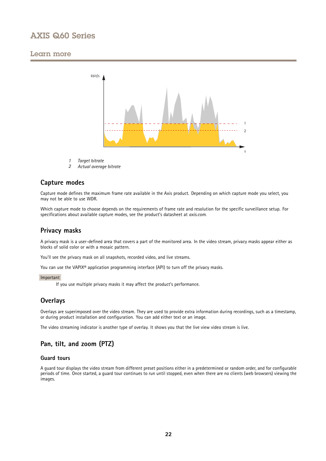## <span id="page-21-0"></span>Learn more



- *1 Target bitrate*
- *2 Actual average bitrate*

## **Capture modes**

Capture mode defines the maximum frame rate available in the Axis product. Depending on which capture mode you select, you may not be able to use WDR.

Which capture mode to choose depends on the requirements of frame rate and resolution for the specific surveillance setup. For specifications about available capture modes, see the product's datasheet at *[axis.com](https://www.axis.com)*.

## **Privacy masks**

A privacy mask is <sup>a</sup> user-defined area that covers <sup>a</sup> part of the monitored area. In the video stream, privacy masks appear either as blocks of solid color or with <sup>a</sup> mosaic pattern.

You'll see the privacy mask on all snapshots, recorded video, and live streams.

You can use the VAPIX<sup>®</sup> application programming interface (API) to turn off the privacy masks.

### Important

If you use multiple privacy masks it may affect the product's performance.

## **Overlays**

Overlays are superimposed over the video stream. They are used to provide extra information during recordings, such as <sup>a</sup> timestamp, or during product installation and configuration. You can add either text or an image.

The video streaming indicator is another type of overlay. It shows you that the live view video stream is live.

## **Pan, tilt, and zoom (PTZ)**

## **Guard tours**

A guard tour displays the video stream from different preset positions either in <sup>a</sup> predetermined or random order, and for configurable periods of time. Once started, <sup>a</sup> guard tour continues to run until stopped, even when there are no clients (web browsers) viewing the images.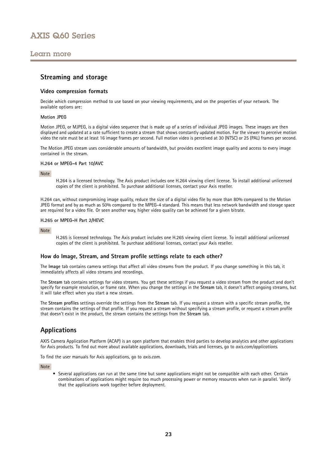## <span id="page-22-0"></span>Learn more

## **Streaming and storage**

### **Video compression formats**

Decide which compression method to use based on your viewing requirements, and on the properties of your network. The available options are:

### **Motion JPEG**

Motion JPEG, or MJPEG, is <sup>a</sup> digital video sequence that is made up of <sup>a</sup> series of individual JPEG images. These images are then displayed and updated at <sup>a</sup> rate sufficient to create <sup>a</sup> stream that shows constantly updated motion. For the viewer to perceive motion video the rate must be at least <sup>16</sup> image frames per second. Full motion video is perceived at <sup>30</sup> (NTSC) or <sup>25</sup> (PAL) frames per second.

The Motion JPEG stream uses considerable amounts of bandwidth, but provides excellent image quality and access to every image contained in the stream.

#### **H.264 or MPEG-4 Part 10/AVC**

#### Note

H.264 is <sup>a</sup> licensed technology. The Axis product includes one H.264 viewing client license. To install additional unlicensed copies of the client is prohibited. To purchase additional licenses, contact your Axis reseller.

H.264 can, without compromising image quality, reduce the size of <sup>a</sup> digital video file by more than 80% compared to the Motion JPEG format and by as much as 50% compared to the MPEG-4 standard. This means that less network bandwidth and storage space are required for <sup>a</sup> video file. Or seen another way, higher video quality can be achieved for <sup>a</sup> given bitrate.

#### **H.265 or MPEG-H Part 2/HEVC**

#### Note

H.265 is licensed technology. The Axis product includes one H.265 viewing client license. To install additional unlicensed copies of the client is prohibited. To purchase additional licenses, contact your Axis reseller.

## **How do Image, Stream, and Stream profile settings relate to each other?**

The **Image** tab contains camera settings that affect all video streams from the product. If you change something in this tab, it immediately affects all video streams and recordings.

The **Stream** tab contains settings for video streams. You get these settings if you request <sup>a</sup> video stream from the product and don't specify for example resolution, or frame rate. When you change the settings in the **Stream** tab, it doesn't affect ongoing streams, but it will take effect when you start <sup>a</sup> new stream.

The **Stream profiles** settings override the settings from the **Stream** tab. If you request <sup>a</sup> stream with <sup>a</sup> specific stream profile, the stream contains the settings of that profile. If you request <sup>a</sup> stream without specifying <sup>a</sup> stream profile, or request <sup>a</sup> stream profile that doesn't exist in the product, the stream contains the settings from the **Stream** tab.

## **Applications**

AXIS Camera Application Platform (ACAP) is an open platform that enables third parties to develop analytics and other applications for Axis products. To find out more about available applications, downloads, trials and licenses, go to *[axis.com/applications](https://www.axis.com/applications)*.

To find the user manuals for Axis applications, go to *[axis.com](https://www.axis.com)*.

Note

• Several applications can run at the same time but some applications might not be compatible with each other. Certain combinations of applications might require too much processing power or memory resources when run in parallel. Verify that the applications work together before deployment.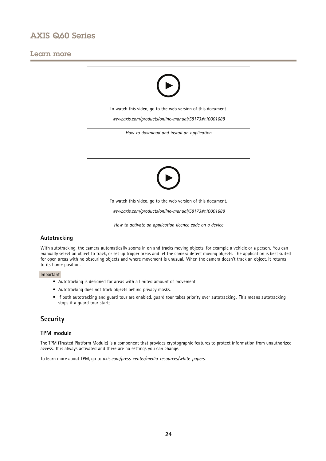## <span id="page-23-0"></span>Learn more





## **Autotracking**

With autotracking, the camera automatically zooms in on and tracks moving objects, for example <sup>a</sup> vehicle or <sup>a</sup> person. You can manually select an object to track, or set up trigger areas and let the camera detect moving objects. The application is best suited for open areas with no obscuring objects and where movement is unusual. When the camera doesn't track an object, it returns to its home position.

### Important

- Autotracking is designed for areas with <sup>a</sup> limited amount of movement.
- Autotracking does not track objects behind privacy masks.
- If both autotracking and guard tour are enabled, guard tour takes priority over autotracking. This means autotracking stops if <sup>a</sup> guard tour starts.

## **Security**

## **TPM module**

The TPM (Trusted Platform Module) is <sup>a</sup> component that provides cryptographic features to protect information from unauthorized access. It is always activated and there are no settings you can change.

To learn more about TPM, go to *[axis.com/press-center/media-resources/white-papers](https://www.axis.com/press-center/media-resources/white-papers)*.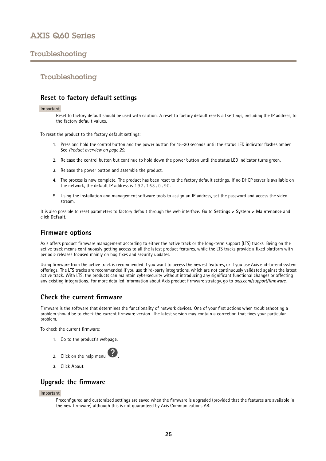## <span id="page-24-0"></span>Troubleshooting

## Troubleshooting

## **Reset to factory default settings**

#### Important

Reset to factory default should be used with caution. A reset to factory default resets all settings, including the IP address, to the factory default values.

To reset the product to the factory default settings:

- 1. Press and hold the control button and the power button for 15–30 seconds until the status LED indicator flashes amber. See *Product [overview](#page-28-0) on page [29](#page-28-0)*.
- 2. Release the control button but continue to hold down the power button until the status LED indicator turns green.
- 3. Release the power button and assemble the product.
- 4. The process is now complete. The product has been reset to the factory default settings. If no DHCP server is available on the network, the default IP address is 192.168.0.90.
- 5. Using the installation and management software tools to assign an IP address, set the password and access the video stream.

It is also possible to reset parameters to factory default through the web interface. Go to **Settings <sup>&</sup>gt; System <sup>&</sup>gt; Maintenance** and click **Default**.

## **Firmware options**

Axis offers product firmware management according to either the active track or the long-term support (LTS) tracks. Being on the active track means continuously getting access to all the latest product features, while the LTS tracks provide <sup>a</sup> fixed platform with periodic releases focused mainly on bug fixes and security updates.

Using firmware from the active track is recommended if you want to access the newest features, or if you use Axis end-to-end system offerings. The LTS tracks are recommended if you use third-party integrations, which are not continuously validated against the latest active track. With LTS, the products can maintain cybersecurity without introducing any significant functional changes or affecting any existing integrations. For more detailed information about Axis product firmware strategy, go to *[axis.com/support/firmware](https://www.axis.com/support/firmware)*.

## **Check the current firmware**

Firmware is the software that determines the functionality of network devices. One of your first actions when troubleshooting <sup>a</sup> problem should be to check the current firmware version. The latest version may contain <sup>a</sup> correction that fixes your particular problem.

To check the current firmware:

1. Go to the product's webpage.



3. Click **About**.

## **Upgrade the firmware**

#### Important

Preconfigured and customized settings are saved when the firmware is upgraded (provided that the features are available in the new firmware) although this is not guaranteed by Axis Communications AB.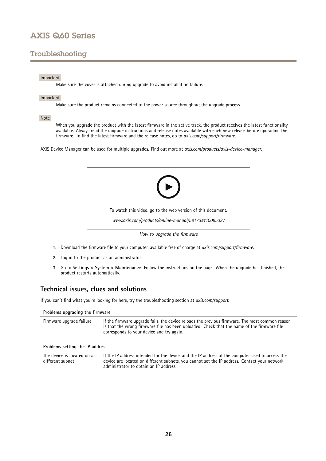## <span id="page-25-0"></span>Troubleshooting

## Important

Make sure the cover is attached during upgrade to avoid installation failure.

### Important

Make sure the product remains connected to the power source throughout the upgrade process.

### Note

When you upgrade the product with the latest firmware in the active track, the product receives the latest functionality available. Always read the upgrade instructions and release notes available with each new release before upgrading the firmware. To find the latest firmware and the release notes, go to *[axis.com/support/firmware](https://www.axis.com/support/firmware)*.

AXIS Device Manager can be used for multiple upgrades. Find out more at *[axis.com/products/axis-device-manager](https://www.axis.com/products/axis-device-manager)*.



- 1. Download the firmware file to your computer, available free of charge at *[axis.com/support/firmware](https://www.axis.com/support/firmware)*.
- 2. Log in to the product as an administrator.
- 3. Go to **Settings <sup>&</sup>gt; System <sup>&</sup>gt; Maintenance**. Follow the instructions on the page. When the upgrade has finished, the product restarts automatically.

## **Technical issues, clues and solutions**

If you can't find what you're looking for here, try the troubleshooting section at *[axis.com/support](https://www.axis.com/support)*.

administrator to obtain an IP address.

| Problems upgrading the firmware                |                                                                                                                                                                                                                                             |  |  |  |
|------------------------------------------------|---------------------------------------------------------------------------------------------------------------------------------------------------------------------------------------------------------------------------------------------|--|--|--|
| Firmware upgrade failure                       | If the firmware upgrade fails, the device reloads the previous firmware. The most common reason<br>is that the wrong firmware file has been uploaded. Check that the name of the firmware file<br>corresponds to your device and try again. |  |  |  |
| Problems setting the IP address                |                                                                                                                                                                                                                                             |  |  |  |
| The device is located on a<br>different subnet | If the IP address intended for the device and the IP address of the computer used to access the<br>device are located on different subnets, you cannot set the IP address. Contact your network                                             |  |  |  |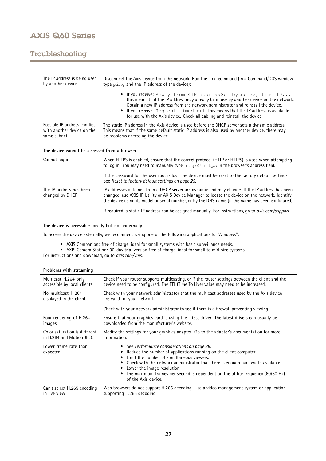## Troubleshooting

| The IP address is being used<br>by another device                         | Disconnect the Axis device from the network. Run the ping command (in a Command/DOS window,<br>type ping and the IP address of the device):                                                                                                                                                                                                                                                                           |  |  |
|---------------------------------------------------------------------------|-----------------------------------------------------------------------------------------------------------------------------------------------------------------------------------------------------------------------------------------------------------------------------------------------------------------------------------------------------------------------------------------------------------------------|--|--|
|                                                                           | • If you receive: Reply from <ip address="">: bytes=32; time=10<br/>this means that the IP address may already be in use by another device on the network.<br/>Obtain a new IP address from the network administrator and reinstall the device.<br/>If you receive: Request timed out, this means that the IP address is available<br/>for use with the Axis device. Check all cabling and reinstall the device.</ip> |  |  |
| Possible IP address conflict<br>with another device on the<br>same subnet | The static IP address in the Axis device is used before the DHCP server sets a dynamic address.<br>This means that if the same default static IP address is also used by another device, there may<br>be problems accessing the device.                                                                                                                                                                               |  |  |
| The device cannot be accessed from a browser                              |                                                                                                                                                                                                                                                                                                                                                                                                                       |  |  |
|                                                                           |                                                                                                                                                                                                                                                                                                                                                                                                                       |  |  |
| Cannot log in                                                             | When HTTPS is enabled, ensure that the correct protocol (HTTP or HTTPS) is used when attempting<br>to log in. You may need to manually type http or https in the browser's address field.                                                                                                                                                                                                                             |  |  |
|                                                                           | If the password for the user root is lost, the device must be reset to the factory default settings.<br>See Reset to factory default settings on page 25.                                                                                                                                                                                                                                                             |  |  |
| The IP address has been<br>changed by DHCP                                | IP addresses obtained from a DHCP server are dynamic and may change. If the IP address has been<br>changed, use AXIS IP Utility or AXIS Device Manager to locate the device on the network. Identify<br>the device using its model or serial number, or by the DNS name (if the name has been configured).                                                                                                            |  |  |

### **The device is accessible locally but not externally**

To access the device externally, we recommend using one of the following applications for Windows® :

- 
- AXIS Companion: free of charge, ideal for small systems with basic surveillance needs. AXIS Camera Station: 30-day trial version free of charge, ideal for small to mid-size systems.

For instructions and download, go to *[axis.com/vms](https://www.axis.com/vms)*.

| Multicast H.264 only              | Check if your router supports multicasting, or if the router settings between the client and the                                                                                                                                                                                                                                                                                                     |  |  |
|-----------------------------------|------------------------------------------------------------------------------------------------------------------------------------------------------------------------------------------------------------------------------------------------------------------------------------------------------------------------------------------------------------------------------------------------------|--|--|
| accessible by local clients       | device need to be configured. The TTL (Time To Live) value may need to be increased.                                                                                                                                                                                                                                                                                                                 |  |  |
| No multicast H.264                | Check with your network administrator that the multicast addresses used by the Axis device                                                                                                                                                                                                                                                                                                           |  |  |
| displayed in the client           | are valid for your network.                                                                                                                                                                                                                                                                                                                                                                          |  |  |
|                                   | Check with your network administrator to see if there is a firewall preventing viewing.                                                                                                                                                                                                                                                                                                              |  |  |
| Poor rendering of H.264           | Ensure that your graphics card is using the latest driver. The latest drivers can usually be                                                                                                                                                                                                                                                                                                         |  |  |
| images                            | downloaded from the manufacturer's website.                                                                                                                                                                                                                                                                                                                                                          |  |  |
| Color saturation is different     | Modify the settings for your graphics adapter. Go to the adapter's documentation for more                                                                                                                                                                                                                                                                                                            |  |  |
| in H.264 and Motion JPEG          | information.                                                                                                                                                                                                                                                                                                                                                                                         |  |  |
| Lower frame rate than<br>expected | • See Performance considerations on page 28.<br>Reduce the number of applications running on the client computer.<br>٠<br>Limit the number of simultaneous viewers.<br>٠<br>Check with the network administrator that there is enough bandwidth available.<br>Lower the image resolution.<br>• The maximum frames per second is dependent on the utility frequency (60/50 Hz)<br>of the Axis device. |  |  |
| Can't select H.265 encoding       | Web browsers do not support H.265 decoding. Use a video management system or application                                                                                                                                                                                                                                                                                                             |  |  |
| in live view                      | supporting H.265 decoding.                                                                                                                                                                                                                                                                                                                                                                           |  |  |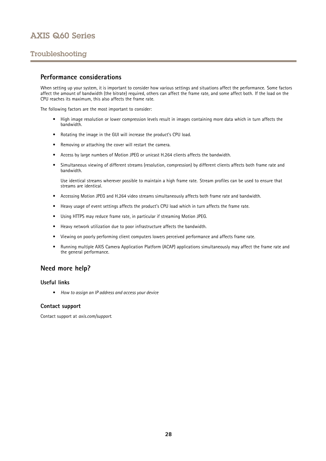## <span id="page-27-0"></span>Troubleshooting

## **Performance considerations**

When setting up your system, it is important to consider how various settings and situations affect the performance. Some factors affect the amount of bandwidth (the bitrate) required, others can affect the frame rate, and some affect both. If the load on the CPU reaches its maximum, this also affects the frame rate.

The following factors are the most important to consider:

- High image resolution or lower compression levels result in images containing more data which in turn affects the bandwidth.
- Rotating the image in the GUI will increase the product's CPU load.
- Removing or attaching the cover will restart the camera.
- •Access by large numbers of Motion JPEG or unicast H.264 clients affects the bandwidth.
- • Simultaneous viewing of different streams (resolution, compression) by different clients affects both frame rate and bandwidth.

Use identical streams wherever possible to maintain <sup>a</sup> high frame rate. Stream profiles can be used to ensure that streams are identical.

- Accessing Motion JPEG and H.264 video streams simultaneously affects both frame rate and bandwidth.
- Heavy usage of event settings affects the product's CPU load which in turn affects the frame rate.
- Using HTTPS may reduce frame rate, in particular if streaming Motion JPEG.
- •Heavy network utilization due to poor infrastructure affects the bandwidth.
- •Viewing on poorly performing client computers lowers perceived performance and affects frame rate.
- • Running multiple AXIS Camera Application Platform (ACAP) applications simultaneously may affect the frame rate and the general performance.

## **Need more help?**

## **Useful links**

• *How to assign an IP [address](https://www.axis.com/files/manuals/um_howtoassignanipaddressandaccessyourdevice_t10118032_en_1811.pdf) and access your device*

## **Contact support**

Contact support at *[axis.com/support](https://www.axis.com/support)*.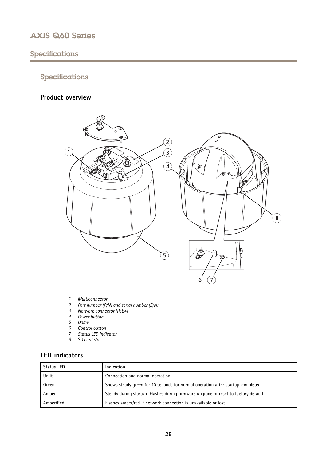# <span id="page-28-0"></span>Specifications

## Specifications

## **Product overview**



- 
- *1 Multiconnector <sup>2</sup> Part number (P/N) and serial number (S/N)*
- *3 Network connector (PoE+)*
- *4 Power button*
- 
- *5 Dome 6 Control button*
- *7 Status LED indicator*
- *8 SD card slot*
- 

## **LED indicators**

| <b>Status LED</b> | Indication                                                                          |  |  |
|-------------------|-------------------------------------------------------------------------------------|--|--|
| Unlit             | Connection and normal operation.                                                    |  |  |
| Green             | Shows steady green for 10 seconds for normal operation after startup completed.     |  |  |
| Amber             | Steady during startup. Flashes during firmware upgrade or reset to factory default. |  |  |
| Amber/Red         | Flashes amber/red if network connection is unavailable or lost.                     |  |  |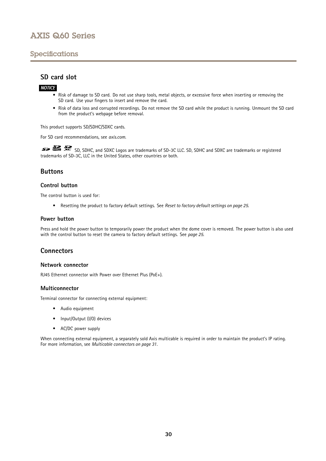## <span id="page-29-0"></span>Specifications

## **SD card slot**

## *NOTICE*

- Risk of damage to SD card. Do not use sharp tools, metal objects, or excessive force when inserting or removing the SD card. Use your fingers to insert and remove the card.
- Risk of data loss and corrupted recordings. Do not remove the SD card while the product is running. Unmount the SD card from the product's webpage before removal.

This product supports SD/SDHC/SDXC cards.

For SD card recommendations, see *[axis.com](https://www.axis.com)*.

SD, SDHC, and SDXC Logos are trademarks of SD-3C LLC. SD, SDHC and SDXC are trademarks or registered trademarks of SD-3C, LLC in the United States, other countries or both.

## **Buttons**

## **Control button**

The control button is used for:

• Resetting the product to factory default settings. See *Reset to factory default [settings](#page-24-0) on page [25](#page-24-0)*.

### **Power button**

Press and hold the power button to temporarily power the product when the dome cover is removed. The power button is also used with the control button to reset the camera to factory default settings. See *[page](#page-24-0) [25](#page-24-0)*.

## **Connectors**

### **Network connector**

RJ45 Ethernet connector with Power over Ethernet Plus (PoE+).

### **Multiconnector**

Terminal connector for connecting external equipment:

- Audio equipment
- Input/Output (I/O) devices
- AC/DC power supply

When connecting external equipment, <sup>a</sup> separately sold Axis multicable is required in order to maintain the product's IP rating. For more information, see *[Multicable](#page-30-0) connectors on page [31](#page-30-0)*.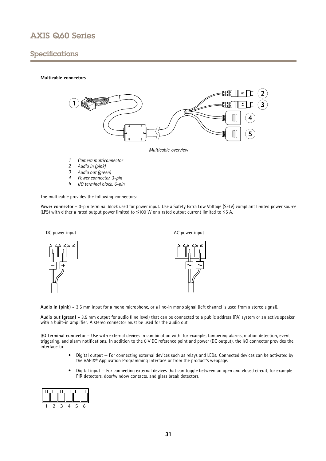## <span id="page-30-0"></span>Specifications

### **Multicable connectors**



*Multicable overview*

- *1 Camera multiconnector*
- *<sup>2</sup> Audio in (pink)*
- *<sup>3</sup> Audio out (green)*
- *<sup>4</sup> Power connector, 3-pin*
- *<sup>5</sup> I/O terminal block, 6-pin*

The multicable provides the following connectors:

**Power connector -** 3-pin terminal block used for power input. Use <sup>a</sup> Safety Extra Low Voltage (SELV) compliant limited power source (LPS) with either <sup>a</sup> rated output power limited to <sup>≤</sup><sup>100</sup> W or <sup>a</sup> rated output current limited to <sup>≤</sup><sup>5</sup> A.







**Audio in (pink) -** 3.5 mm input for <sup>a</sup> mono microphone, or <sup>a</sup> line-in mono signal (left channel is used from <sup>a</sup> stereo signal).

**Audio out (green) -** 3.5 mm output for audio (line level) that can be connected to <sup>a</sup> public address (PA) system or an active speaker with <sup>a</sup> built-in amplifier. A stereo connector must be used for the audio out.

**I/O terminal connector -** Use with external devices in combination with, for example, tampering alarms, motion detection, event triggering, and alarm notifications. In addition to the <sup>0</sup> V DC reference point and power (DC output), the I/O connector provides the interface to:

- • Digital output — For connecting external devices such as relays and LEDs. Connected devices can be activated by the VAPIX® Application Programming Interface or from the product's webpage.
- • Digital input — For connecting external devices that can toggle between an open and closed circuit, for example PIR detectors, door/window contacts, and glass break detectors.

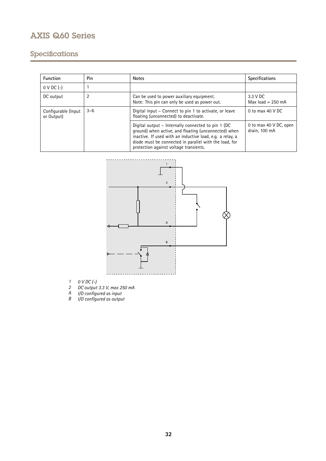# Specifications

| <b>Function</b>                   | Pin     | <b>Notes</b>                                                                                                                                                                                                                                                                 | <b>Specifications</b>                   |
|-----------------------------------|---------|------------------------------------------------------------------------------------------------------------------------------------------------------------------------------------------------------------------------------------------------------------------------------|-----------------------------------------|
| $0 \vee DC$ (-)                   |         |                                                                                                                                                                                                                                                                              |                                         |
| DC output                         | 2       | Can be used to power auxiliary equipment.<br>Note: This pin can only be used as power out.                                                                                                                                                                                   | 3.3 V DC<br>Max $load = 250$ mA         |
| Configurable (Input<br>or Output) | $3 - 6$ | Digital input – Connect to pin 1 to activate, or leave<br>floating (unconnected) to deactivate.                                                                                                                                                                              | 0 to max $40$ V DC                      |
|                                   |         | Digital output – Internally connected to pin 1 (DC)<br>ground) when active, and floating (unconnected) when<br>inactive. If used with an inductive load, e.g. a relay, a<br>diode must be connected in parallel with the load, for<br>protection against voltage transients. | 0 to max 40 V DC, open<br>drain, 100 mA |



- *1 0 V DC (-)*
- *2 DC output 3.3 V, max 250 mA*
- *A I/O configured as input*
- *B I/O configured as output*